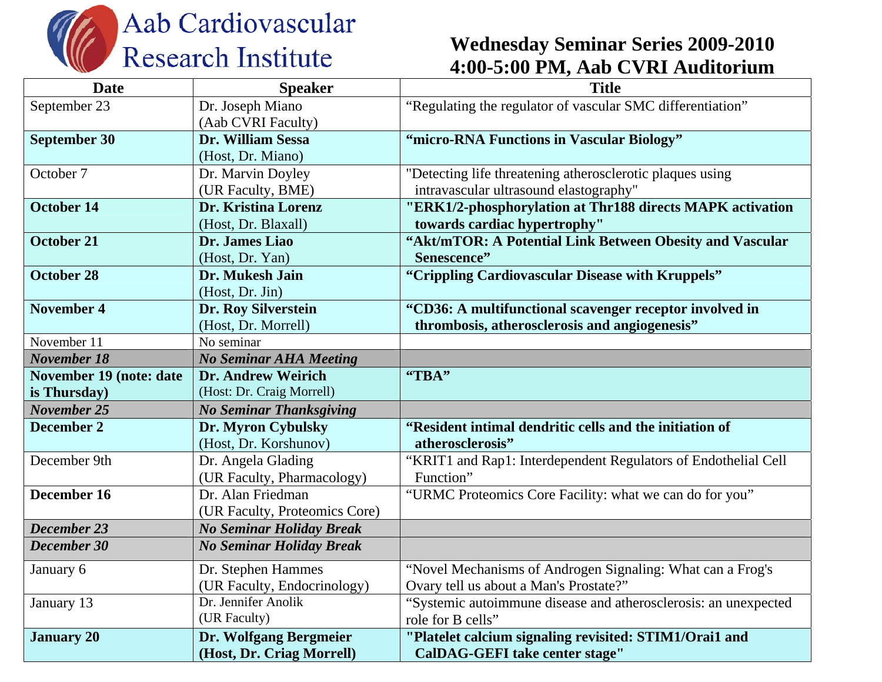

## **Wednesday Seminar Series 2009-2010 4:00-5:00 PM, Aab CVRI Auditorium**

| <b>Date</b>                    | <b>Speaker</b>                  | <b>Title</b>                                                    |
|--------------------------------|---------------------------------|-----------------------------------------------------------------|
| September 23                   | Dr. Joseph Miano                | "Regulating the regulator of vascular SMC differentiation"      |
|                                | (Aab CVRI Faculty)              |                                                                 |
| <b>September 30</b>            | Dr. William Sessa               | "micro-RNA Functions in Vascular Biology"                       |
|                                | (Host, Dr. Miano)               |                                                                 |
| October 7                      | Dr. Marvin Doyley               | "Detecting life threatening atherosclerotic plaques using       |
|                                | (UR Faculty, BME)               | intravascular ultrasound elastography"                          |
| <b>October 14</b>              | Dr. Kristina Lorenz             | "ERK1/2-phosphorylation at Thr188 directs MAPK activation       |
|                                | (Host, Dr. Blaxall)             | towards cardiac hypertrophy"                                    |
| <b>October 21</b>              | Dr. James Liao                  | "Akt/mTOR: A Potential Link Between Obesity and Vascular        |
|                                | (Host, Dr. Yan)                 | Senescence"                                                     |
| <b>October 28</b>              | Dr. Mukesh Jain                 | "Crippling Cardiovascular Disease with Kruppels"                |
|                                | (Host, Dr. Jin)                 |                                                                 |
| <b>November 4</b>              | Dr. Roy Silverstein             | "CD36: A multifunctional scavenger receptor involved in         |
|                                | (Host, Dr. Morrell)             | thrombosis, atherosclerosis and angiogenesis"                   |
| November 11                    | No seminar                      |                                                                 |
| <b>November 18</b>             | <b>No Seminar AHA Meeting</b>   |                                                                 |
| <b>November 19 (note: date</b> | <b>Dr. Andrew Weirich</b>       | "TBA"                                                           |
| is Thursday)                   | (Host: Dr. Craig Morrell)       |                                                                 |
| <b>November 25</b>             | <b>No Seminar Thanksgiving</b>  |                                                                 |
| December 2                     | Dr. Myron Cybulsky              | "Resident intimal dendritic cells and the initiation of         |
|                                | (Host, Dr. Korshunov)           | atherosclerosis"                                                |
| December 9th                   | Dr. Angela Glading              | "KRIT1 and Rap1: Interdependent Regulators of Endothelial Cell  |
|                                | (UR Faculty, Pharmacology)      | Function"                                                       |
| December 16                    | Dr. Alan Friedman               | "URMC Proteomics Core Facility: what we can do for you"         |
|                                | (UR Faculty, Proteomics Core)   |                                                                 |
| December 23                    | <b>No Seminar Holiday Break</b> |                                                                 |
| December 30                    | <b>No Seminar Holiday Break</b> |                                                                 |
| January 6                      | Dr. Stephen Hammes              | "Novel Mechanisms of Androgen Signaling: What can a Frog's      |
|                                | (UR Faculty, Endocrinology)     | Ovary tell us about a Man's Prostate?"                          |
| January 13                     | Dr. Jennifer Anolik             | "Systemic autoimmune disease and atherosclerosis: an unexpected |
|                                | (UR Faculty)                    | role for B cells"                                               |
| <b>January 20</b>              | Dr. Wolfgang Bergmeier          | "Platelet calcium signaling revisited: STIM1/Orai1 and          |
|                                | (Host, Dr. Criag Morrell)       | CalDAG-GEFI take center stage"                                  |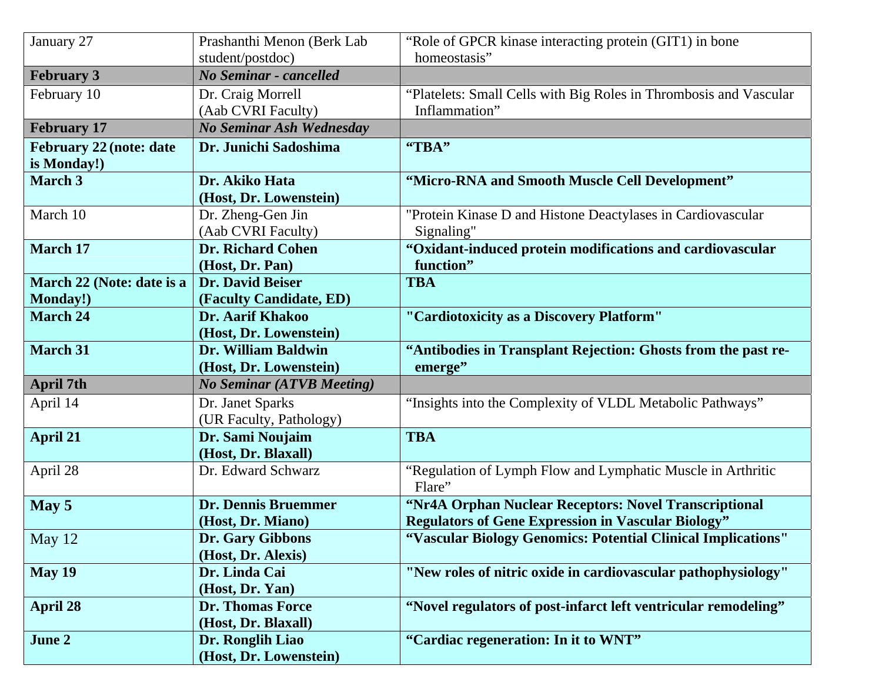| January 27                     | Prashanthi Menon (Berk Lab       | "Role of GPCR kinase interacting protein (GIT1) in bone           |
|--------------------------------|----------------------------------|-------------------------------------------------------------------|
|                                | student/postdoc)                 | homeostasis"                                                      |
| <b>February 3</b>              | No Seminar - cancelled           |                                                                   |
| February 10                    | Dr. Craig Morrell                | "Platelets: Small Cells with Big Roles in Thrombosis and Vascular |
|                                | (Aab CVRI Faculty)               | Inflammation"                                                     |
| <b>February 17</b>             | No Seminar Ash Wednesday         |                                                                   |
| <b>February 22 (note: date</b> | Dr. Junichi Sadoshima            | "TBA"                                                             |
| is Monday!)                    |                                  |                                                                   |
| <b>March 3</b>                 | Dr. Akiko Hata                   | "Micro-RNA and Smooth Muscle Cell Development"                    |
|                                | (Host, Dr. Lowenstein)           |                                                                   |
| March 10                       | Dr. Zheng-Gen Jin                | "Protein Kinase D and Histone Deactylases in Cardiovascular       |
|                                | (Aab CVRI Faculty)               | Signaling"                                                        |
| <b>March 17</b>                | <b>Dr. Richard Cohen</b>         | "Oxidant-induced protein modifications and cardiovascular         |
|                                | (Host, Dr. Pan)                  | function"                                                         |
| March 22 (Note: date is a      | <b>Dr. David Beiser</b>          | <b>TBA</b>                                                        |
| <b>Monday!)</b>                | (Faculty Candidate, ED)          |                                                                   |
| <b>March 24</b>                | <b>Dr. Aarif Khakoo</b>          | "Cardiotoxicity as a Discovery Platform"                          |
|                                | (Host, Dr. Lowenstein)           |                                                                   |
| <b>March 31</b>                | Dr. William Baldwin              | "Antibodies in Transplant Rejection: Ghosts from the past re-     |
|                                | (Host, Dr. Lowenstein)           | emerge"                                                           |
| <b>April 7th</b>               | <b>No Seminar (ATVB Meeting)</b> |                                                                   |
| April 14                       | Dr. Janet Sparks                 | "Insights into the Complexity of VLDL Metabolic Pathways"         |
|                                | (UR Faculty, Pathology)          |                                                                   |
| <b>April 21</b>                | Dr. Sami Noujaim                 | <b>TBA</b>                                                        |
|                                | (Host, Dr. Blaxall)              |                                                                   |
| April 28                       | Dr. Edward Schwarz               | "Regulation of Lymph Flow and Lymphatic Muscle in Arthritic       |
|                                |                                  | Flare"                                                            |
| May 5                          | <b>Dr. Dennis Bruemmer</b>       | "Nr4A Orphan Nuclear Receptors: Novel Transcriptional             |
|                                | (Host, Dr. Miano)                | <b>Regulators of Gene Expression in Vascular Biology"</b>         |
| May 12                         | <b>Dr. Gary Gibbons</b>          | "Vascular Biology Genomics: Potential Clinical Implications"      |
|                                | (Host, Dr. Alexis)               |                                                                   |
| May 19                         | Dr. Linda Cai                    | "New roles of nitric oxide in cardiovascular pathophysiology"     |
|                                | (Host, Dr. Yan)                  |                                                                   |
| <b>April 28</b>                | <b>Dr. Thomas Force</b>          | "Novel regulators of post-infarct left ventricular remodeling"    |
|                                | (Host, Dr. Blaxall)              |                                                                   |
| June 2                         | Dr. Ronglih Liao                 | "Cardiac regeneration: In it to WNT"                              |
|                                | (Host, Dr. Lowenstein)           |                                                                   |